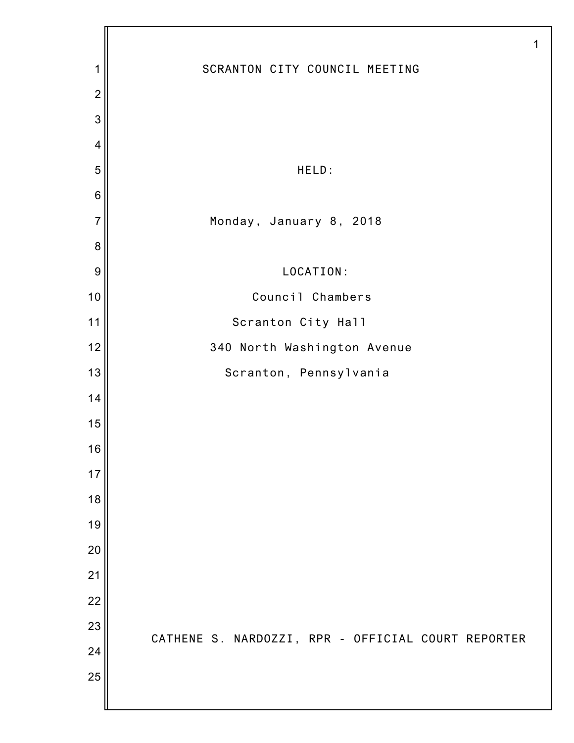|                |                                                    | 1 |
|----------------|----------------------------------------------------|---|
| 1              | SCRANTON CITY COUNCIL MEETING                      |   |
| $\overline{2}$ |                                                    |   |
| 3              |                                                    |   |
| $\overline{4}$ |                                                    |   |
| 5              | HELD:                                              |   |
| $\,$ 6 $\,$    |                                                    |   |
| $\overline{7}$ | Monday, January 8, 2018                            |   |
| 8              |                                                    |   |
| 9              | LOCATION:                                          |   |
| 10             | Council Chambers                                   |   |
| 11             | Scranton City Hall                                 |   |
| 12             | 340 North Washington Avenue                        |   |
| 13             | Scranton, Pennsylvania                             |   |
| 14             |                                                    |   |
| 15             |                                                    |   |
| 16             |                                                    |   |
| 17             |                                                    |   |
| 18             |                                                    |   |
| 19             |                                                    |   |
| 20             |                                                    |   |
| 21             |                                                    |   |
| 22             |                                                    |   |
| 23             | CATHENE S. NARDOZZI, RPR - OFFICIAL COURT REPORTER |   |
| 24             |                                                    |   |
| 25             |                                                    |   |
|                |                                                    |   |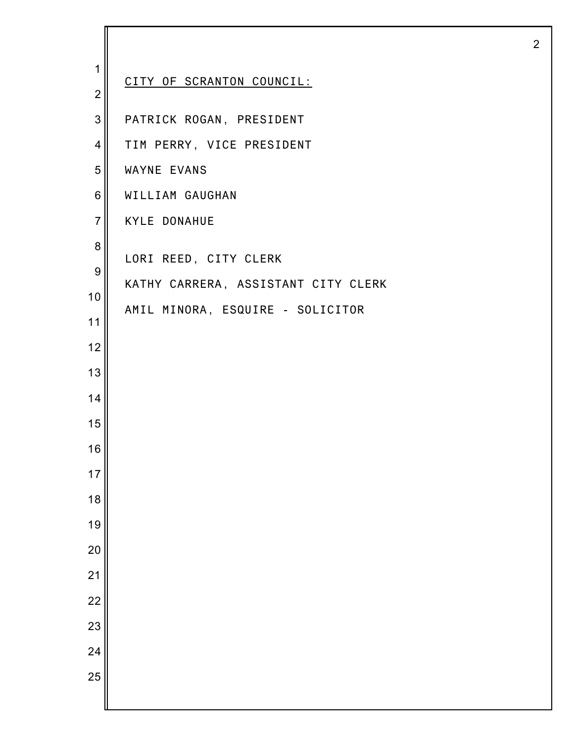| 1                                                                                                     | CITY OF SCRANTON COUNCIL:                                                                                                                                                                                          |
|-------------------------------------------------------------------------------------------------------|--------------------------------------------------------------------------------------------------------------------------------------------------------------------------------------------------------------------|
| $\overline{2}$<br>3<br>$\overline{4}$<br>5<br>6<br>$\overline{7}$<br>8<br>9<br>$10$<br>11<br>12<br>13 | PATRICK ROGAN, PRESIDENT<br>TIM PERRY, VICE PRESIDENT<br>WAYNE EVANS<br>WILLIAM GAUGHAN<br><b>KYLE DONAHUE</b><br>LORI REED, CITY CLERK<br>KATHY CARRERA, ASSISTANT CITY CLERK<br>AMIL MINORA, ESQUIRE - SOLICITOR |
| 14<br>15<br>16<br>17<br>18<br>19<br>20<br>21<br>$\overline{22}$<br>23<br>24<br>25                     |                                                                                                                                                                                                                    |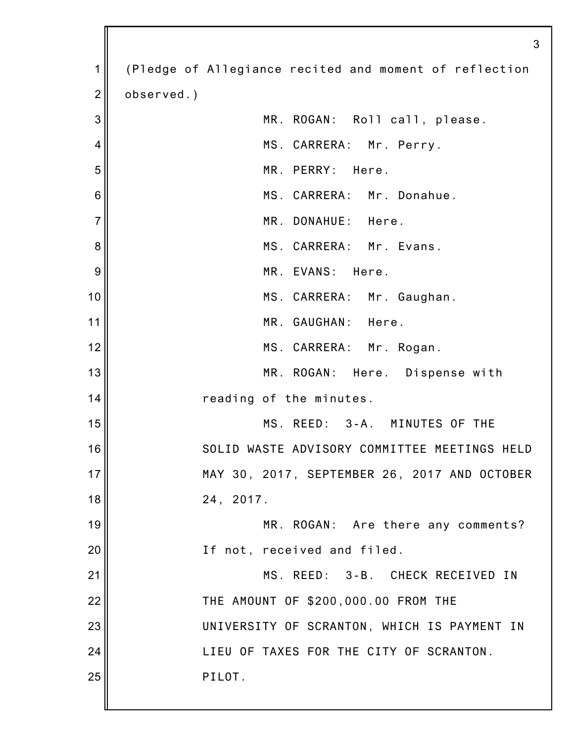|                | 3                                                      |
|----------------|--------------------------------------------------------|
| 1              | (Pledge of Allegiance recited and moment of reflection |
| $\overline{2}$ | observed.)                                             |
| 3              | MR. ROGAN: Roll call, please.                          |
| 4              | MS. CARRERA: Mr. Perry.                                |
| 5              | MR. PERRY: Here.                                       |
| 6              | MS. CARRERA: Mr. Donahue.                              |
| $\overline{7}$ | MR. DONAHUE: Here.                                     |
| 8              | MS. CARRERA: Mr. Evans.                                |
| 9              | MR. EVANS: Here.                                       |
| 10             | MS. CARRERA: Mr. Gaughan.                              |
| 11             | MR. GAUGHAN: Here.                                     |
| 12             | MS. CARRERA: Mr. Rogan.                                |
| 13             | MR. ROGAN: Here. Dispense with                         |
| 14             | reading of the minutes.                                |
| 15             | MS. REED: 3-A. MINUTES OF THE                          |
| 16             | SOLID WASTE ADVISORY COMMITTEE MEETINGS HELD           |
| 17             | MAY 30, 2017, SEPTEMBER 26, 2017 AND OCTOBER           |
| 18             | 24, 2017.                                              |
| 19             | MR. ROGAN: Are there any comments?                     |
| 20             | If not, received and filed.                            |
| 21             | MS. REED: 3-B. CHECK RECEIVED IN                       |
| 22             | THE AMOUNT OF \$200,000.00 FROM THE                    |
| 23             | UNIVERSITY OF SCRANTON, WHICH IS PAYMENT IN            |
| 24             | LIEU OF TAXES FOR THE CITY OF SCRANTON.                |
| 25             | PILOT.                                                 |
|                |                                                        |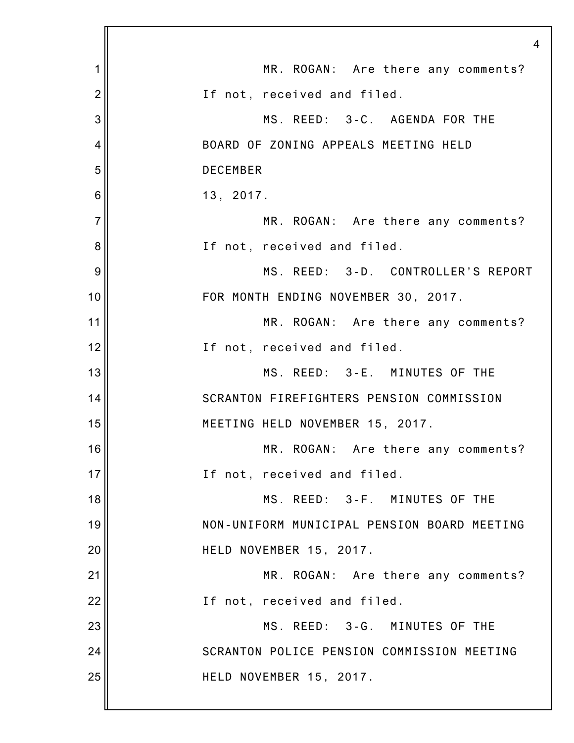|                | $\overline{4}$                              |
|----------------|---------------------------------------------|
| 1              | MR. ROGAN: Are there any comments?          |
| $\overline{2}$ | If not, received and filed.                 |
| 3              | MS. REED: 3-C. AGENDA FOR THE               |
| 4              | BOARD OF ZONING APPEALS MEETING HELD        |
| 5              | <b>DECEMBER</b>                             |
| 6              | 13, 2017.                                   |
| $\overline{7}$ | MR. ROGAN: Are there any comments?          |
| 8              | If not, received and filed.                 |
| 9              | MS. REED: 3-D. CONTROLLER'S REPORT          |
| 10             | FOR MONTH ENDING NOVEMBER 30, 2017.         |
| 11             | MR. ROGAN: Are there any comments?          |
| 12             | If not, received and filed.                 |
| 13             | MS. REED: 3-E. MINUTES OF THE               |
| 14             | SCRANTON FIREFIGHTERS PENSION COMMISSION    |
| 15             | MEETING HELD NOVEMBER 15, 2017.             |
| 16             | MR. ROGAN: Are there any comments?          |
| 17             | If not, received and filed.                 |
| 18             | MS. REED: 3-F. MINUTES OF THE               |
| 19             | NON-UNIFORM MUNICIPAL PENSION BOARD MEETING |
| 20             | HELD NOVEMBER 15, 2017.                     |
| 21             | MR. ROGAN: Are there any comments?          |
| 22             | If not, received and filed.                 |
| 23             | MS. REED: 3-G. MINUTES OF THE               |
| 24             | SCRANTON POLICE PENSION COMMISSION MEETING  |
| 25             | HELD NOVEMBER 15, 2017.                     |
|                |                                             |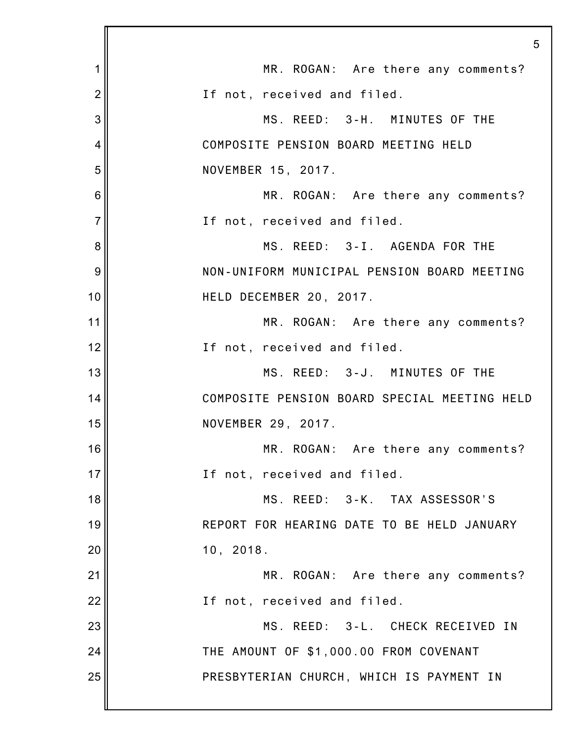|                | 5                                            |
|----------------|----------------------------------------------|
| 1              | MR. ROGAN: Are there any comments?           |
| $\overline{2}$ | If not, received and filed.                  |
| 3              | MS. REED: 3-H. MINUTES OF THE                |
| 4              | COMPOSITE PENSION BOARD MEETING HELD         |
| 5              | NOVEMBER 15, 2017.                           |
| 6              | MR. ROGAN: Are there any comments?           |
| $\overline{7}$ | If not, received and filed.                  |
| 8              | MS. REED: 3-I. AGENDA FOR THE                |
| 9              | NON-UNIFORM MUNICIPAL PENSION BOARD MEETING  |
| 10             | HELD DECEMBER 20, 2017.                      |
| 11             | MR. ROGAN: Are there any comments?           |
| 12             | If not, received and filed.                  |
| 13             | MS. REED: 3-J. MINUTES OF THE                |
| 14             | COMPOSITE PENSION BOARD SPECIAL MEETING HELD |
| 15             | NOVEMBER 29, 2017.                           |
| 16             | MR. ROGAN: Are there any comments?           |
| 17             | If not, received and filed.                  |
| 18             | MS. REED: 3-K. TAX ASSESSOR'S                |
| 19             | REPORT FOR HEARING DATE TO BE HELD JANUARY   |
| 20             | 10, 2018.                                    |
| 21             | MR. ROGAN: Are there any comments?           |
| 22             | If not, received and filed.                  |
| 23             | MS. REED: 3-L. CHECK RECEIVED IN             |
| 24             | THE AMOUNT OF \$1,000.00 FROM COVENANT       |
| 25             | PRESBYTERIAN CHURCH, WHICH IS PAYMENT IN     |
|                |                                              |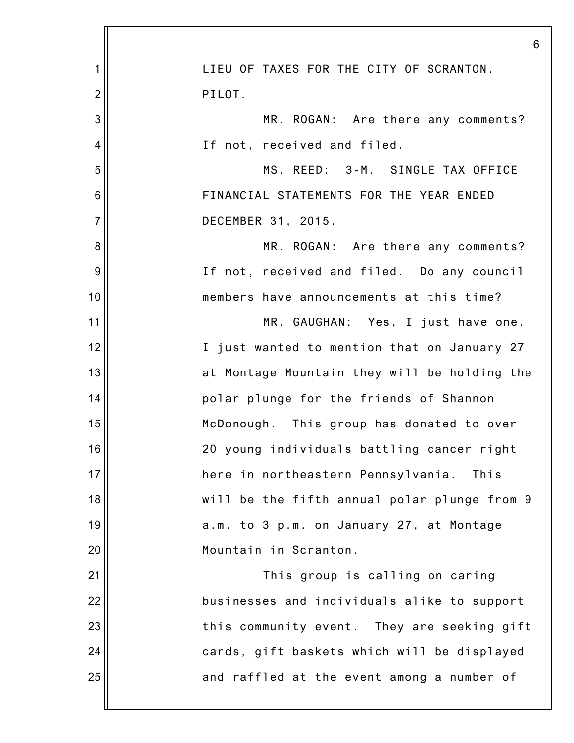|                | 6                                            |
|----------------|----------------------------------------------|
| 1              | LIEU OF TAXES FOR THE CITY OF SCRANTON.      |
| $\overline{2}$ | PILOT.                                       |
| 3              | MR. ROGAN: Are there any comments?           |
| 4              | If not, received and filed.                  |
| 5              | MS. REED: 3-M. SINGLE TAX OFFICE             |
| 6              | FINANCIAL STATEMENTS FOR THE YEAR ENDED      |
| $\overline{7}$ | DECEMBER 31, 2015.                           |
| 8              | MR. ROGAN: Are there any comments?           |
| 9              | If not, received and filed. Do any council   |
| 10             | members have announcements at this time?     |
| 11             | MR. GAUGHAN: Yes, I just have one.           |
| 12             | I just wanted to mention that on January 27  |
| 13             | at Montage Mountain they will be holding the |
| 14             | polar plunge for the friends of Shannon      |
| 15             | McDonough. This group has donated to over    |
| 16             | 20 young individuals battling cancer right   |
| 17             | here in northeastern Pennsylvania.<br>This   |
| 18             | will be the fifth annual polar plunge from 9 |
| 19             | a.m. to 3 p.m. on January 27, at Montage     |
| 20             | Mountain in Scranton.                        |
| 21             | This group is calling on caring              |
| 22             | businesses and individuals alike to support  |
| 23             | this community event. They are seeking gift  |
| 24             | cards, gift baskets which will be displayed  |
| 25             | and raffled at the event among a number of   |
|                |                                              |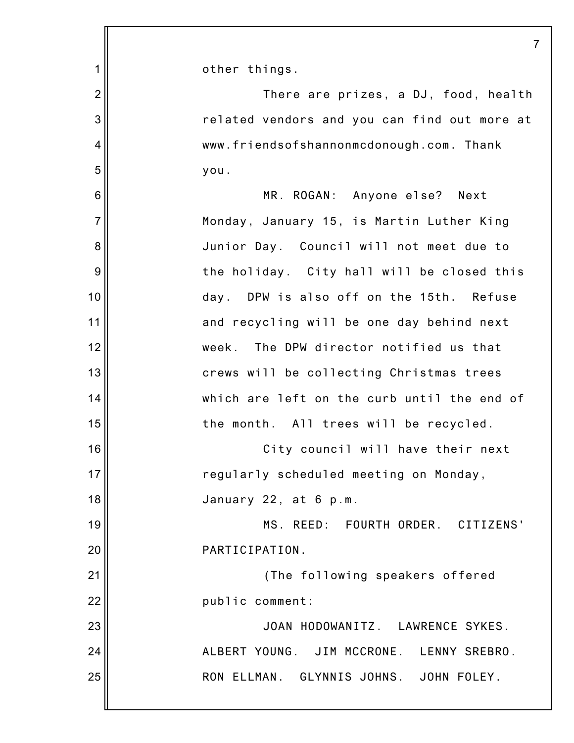|                 | 7                                            |
|-----------------|----------------------------------------------|
| 1               | other things.                                |
| $\overline{2}$  | There are prizes, a DJ, food, health         |
| 3               | related vendors and you can find out more at |
| $\overline{4}$  | www.friendsofshannonmcdonough.com. Thank     |
| 5               | you.                                         |
| $6\phantom{1}6$ | MR. ROGAN: Anyone else? Next                 |
| $\overline{7}$  | Monday, January 15, is Martin Luther King    |
| 8               | Junior Day. Council will not meet due to     |
| 9               | the holiday. City hall will be closed this   |
| 10              | DPW is also off on the 15th. Refuse<br>day.  |
| 11              | and recycling will be one day behind next    |
| 12              | The DPW director notified us that<br>week.   |
| 13              | crews will be collecting Christmas trees     |
| 14              | which are left on the curb until the end of  |
| 15              | the month. All trees will be recycled.       |
| 16              | City council will have their next            |
| 17              | regularly scheduled meeting on Monday,       |
| 18              | January 22, at 6 p.m.                        |
| 19              | MS. REED: FOURTH ORDER. CITIZENS'            |
| 20              | PARTICIPATION.                               |
| 21              | (The following speakers offered              |
| 22              | public comment:                              |
| 23              | JOAN HODOWANITZ. LAWRENCE SYKES.             |
| 24              | ALBERT YOUNG. JIM MCCRONE. LENNY SREBRO.     |
| 25              | RON ELLMAN. GLYNNIS JOHNS. JOHN FOLEY.       |
|                 |                                              |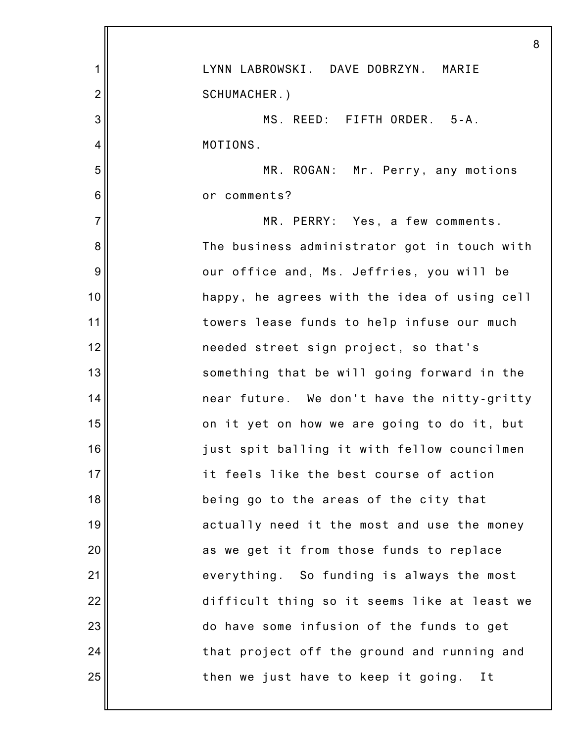|                | 8                                            |
|----------------|----------------------------------------------|
| 1              | LYNN LABROWSKI. DAVE DOBRZYN. MARIE          |
| $\overline{2}$ | SCHUMACHER.)                                 |
| 3              | MS. REED: FIFTH ORDER. 5-A.                  |
| 4              | MOTIONS.                                     |
| 5              | MR. ROGAN: Mr. Perry, any motions            |
| 6              | or comments?                                 |
| $\overline{7}$ | MR. PERRY: Yes, a few comments.              |
| 8              | The business administrator got in touch with |
| 9              | our office and, Ms. Jeffries, you will be    |
| 10             | happy, he agrees with the idea of using cell |
| 11             | towers lease funds to help infuse our much   |
| 12             | needed street sign project, so that's        |
| 13             | something that be will going forward in the  |
| 14             | near future. We don't have the nitty-gritty  |
| 15             | on it yet on how we are going to do it, but  |
| 16             | just spit balling it with fellow councilmen  |
| 17             | it feels like the best course of action      |
| 18             | being go to the areas of the city that       |
| 19             | actually need it the most and use the money  |
| 20             | as we get it from those funds to replace     |
| 21             | everything. So funding is always the most    |
| 22             | difficult thing so it seems like at least we |
| 23             | do have some infusion of the funds to get    |
| 24             | that project off the ground and running and  |
| 25             | then we just have to keep it going. It       |
|                |                                              |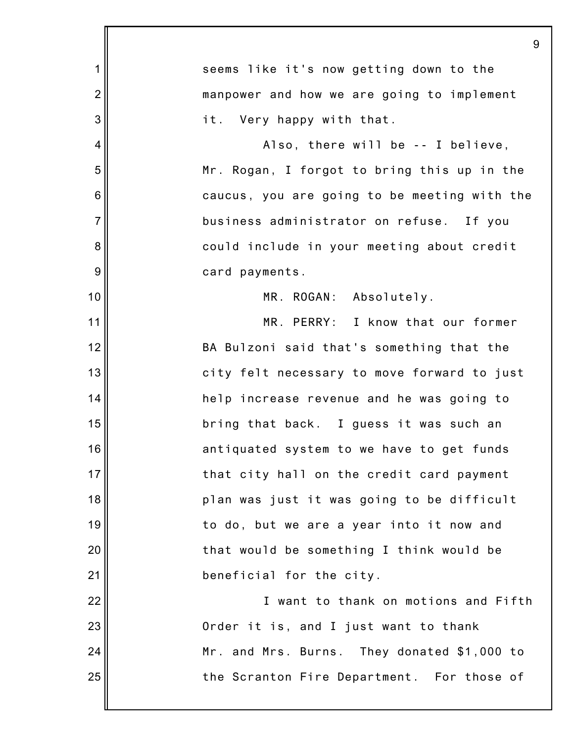|                | 9                                            |
|----------------|----------------------------------------------|
| 1              | seems like it's now getting down to the      |
| $\overline{2}$ | manpower and how we are going to implement   |
| 3              | it. Very happy with that.                    |
| 4              | Also, there will be -- I believe,            |
| 5              | Mr. Rogan, I forgot to bring this up in the  |
| 6              | caucus, you are going to be meeting with the |
| $\overline{7}$ | business administrator on refuse. If you     |
| 8              | could include in your meeting about credit   |
| 9              | card payments.                               |
| 10             | MR. ROGAN: Absolutely.                       |
| 11             | MR. PERRY: I know that our former            |
| 12             | BA Bulzoni said that's something that the    |
| 13             | city felt necessary to move forward to just  |
| 14             | help increase revenue and he was going to    |
| 15             | bring that back. I guess it was such an      |
| 16             | antiquated system to we have to get funds    |
| 17             | that city hall on the credit card payment    |
| 18             | plan was just it was going to be difficult   |
| 19             | to do, but we are a year into it now and     |
| 20             | that would be something I think would be     |
| 21             | beneficial for the city.                     |
| 22             | I want to thank on motions and Fifth         |
| 23             | Order it is, and I just want to thank        |
| 24             | Mr. and Mrs. Burns. They donated \$1,000 to  |
| 25             | the Scranton Fire Department. For those of   |
|                |                                              |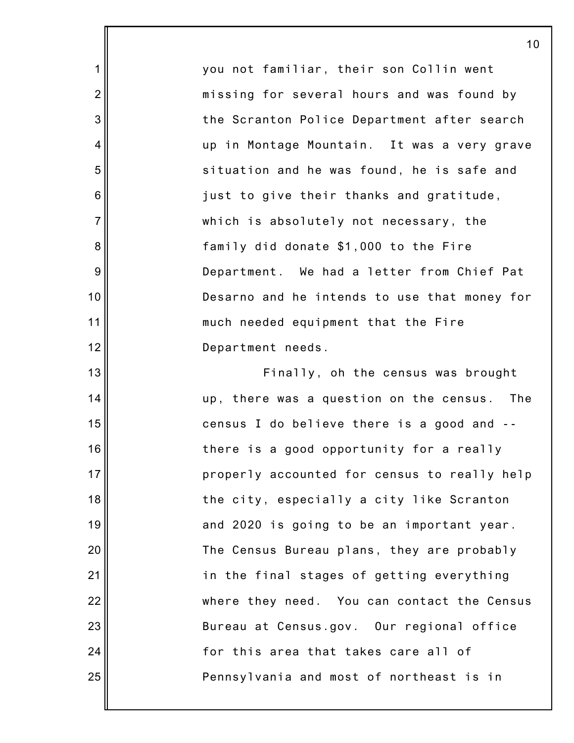you not familiar, their son Collin went missing for several hours and was found by the Scranton Police Department after search up in Montage Mountain. It was a very grave situation and he was found, he is safe and just to give their thanks and gratitude, which is absolutely not necessary, the family did donate \$1,000 to the Fire Department. We had a letter from Chief Pat Desarno and he intends to use that money for much needed equipment that the Fire Department needs.

1

2

3

4

5

6

7

8

9

10

11

12

13

14

15

16

17

18

19

20

21

22

23

24

25

Finally, oh the census was brought up, there was a question on the census. The census I do believe there is a good and - there is a good opportunity for a really properly accounted for census to really help the city, especially a city like Scranton and 2020 is going to be an important year. The Census Bureau plans, they are probably in the final stages of getting everything where they need. You can contact the Census Bureau at Census.gov. Our regional office for this area that takes care all of Pennsylvania and most of northeast is in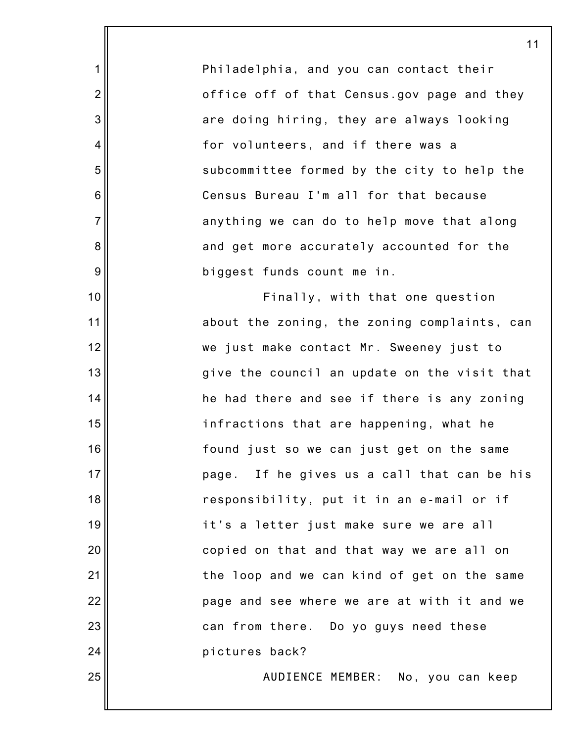Philadelphia, and you can contact their office off of that Census.gov page and they are doing hiring, they are always looking for volunteers, and if there was a subcommittee formed by the city to help the Census Bureau I'm all for that because anything we can do to help move that along and get more accurately accounted for the biggest funds count me in.

1

2

3

4

5

6

7

8

9

10

11

12

13

14

15

16

17

18

19

20

21

22

23

24

25

Finally, with that one question about the zoning, the zoning complaints, can we just make contact Mr. Sweeney just to give the council an update on the visit that he had there and see if there is any zoning infractions that are happening, what he found just so we can just get on the same page. If he gives us a call that can be his responsibility, put it in an e-mail or if it's a letter just make sure we are all copied on that and that way we are all on the loop and we can kind of get on the same page and see where we are at with it and we can from there. Do yo guys need these pictures back?

AUDIENCE MEMBER: No, you can keep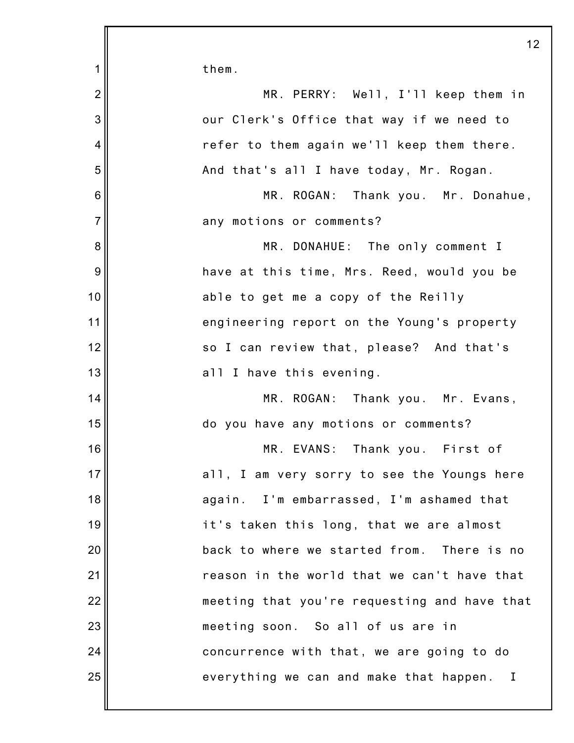1 2 3 4 5 6 7 8 9 10 11 12 13 14 15 16 17 18 19 20 21 22 23 24 25 them. MR. PERRY: Well, I'll keep them in our Clerk's Office that way if we need to refer to them again we'll keep them there. And that's all I have today, Mr. Rogan. MR. ROGAN: Thank you. Mr. Donahue, any motions or comments? MR. DONAHUE: The only comment I have at this time, Mrs. Reed, would you be able to get me a copy of the Reilly engineering report on the Young's property so I can review that, please? And that's all I have this evening. MR. ROGAN: Thank you. Mr. Evans, do you have any motions or comments? MR. EVANS: Thank you. First of all, I am very sorry to see the Youngs here again. I'm embarrassed, I'm ashamed that it's taken this long, that we are almost back to where we started from. There is no reason in the world that we can't have that meeting that you're requesting and have that meeting soon. So all of us are in concurrence with that, we are going to do everything we can and make that happen. I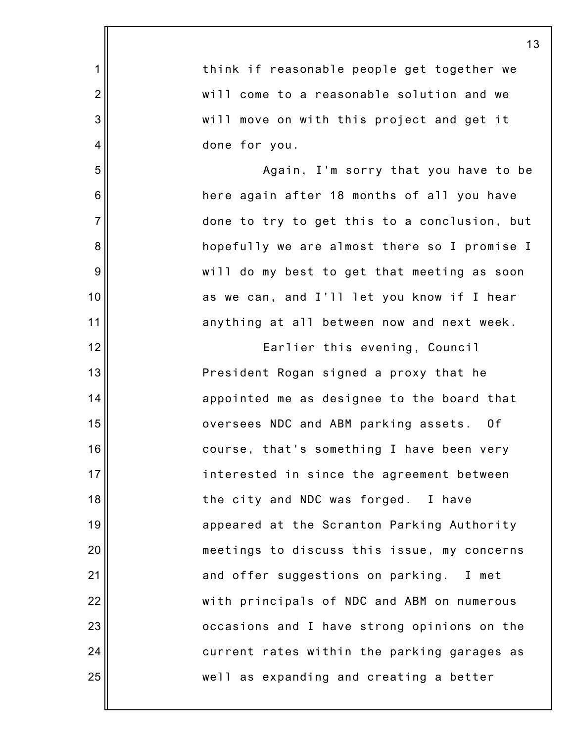|                | 13                                           |
|----------------|----------------------------------------------|
| 1              | think if reasonable people get together we   |
| $\overline{2}$ | will come to a reasonable solution and we    |
| 3              | will move on with this project and get it    |
| 4              | done for you.                                |
| 5              | Again, I'm sorry that you have to be         |
| 6              | here again after 18 months of all you have   |
| $\overline{7}$ | done to try to get this to a conclusion, but |
| 8              | hopefully we are almost there so I promise I |
| 9              | will do my best to get that meeting as soon  |
| 10             | as we can, and I'll let you know if I hear   |
| 11             | anything at all between now and next week.   |
| 12             | Earlier this evening, Council                |
| 13             | President Rogan signed a proxy that he       |
| 14             | appointed me as designee to the board that   |
| 15             | oversees NDC and ABM parking assets. Of      |
| 16             | course, that's something I have been very    |
| 17             | interested in since the agreement between    |
| 18             | the city and NDC was forged. I have          |
| 19             | appeared at the Scranton Parking Authority   |
| 20             | meetings to discuss this issue, my concerns  |
| 21             | and offer suggestions on parking. I met      |
| 22             | with principals of NDC and ABM on numerous   |
| 23             | occasions and I have strong opinions on the  |
| 24             | current rates within the parking garages as  |
| 25             | well as expanding and creating a better      |
|                |                                              |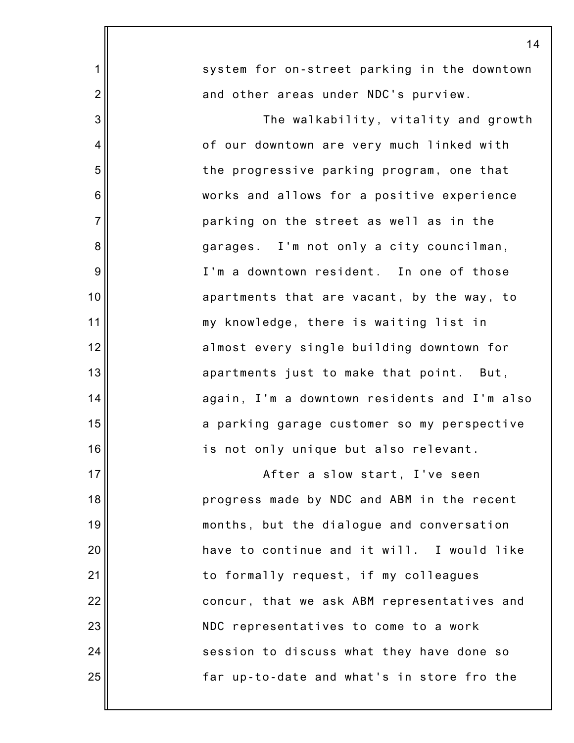|                | 14                                           |
|----------------|----------------------------------------------|
| 1              | system for on-street parking in the downtown |
| $\overline{2}$ | and other areas under NDC's purview.         |
| 3              | The walkability, vitality and growth         |
| 4              | of our downtown are very much linked with    |
| 5              | the progressive parking program, one that    |
| 6              | works and allows for a positive experience   |
| $\overline{7}$ | parking on the street as well as in the      |
| 8              | garages. I'm not only a city councilman,     |
| 9              | I'm a downtown resident. In one of those     |
| 10             | apartments that are vacant, by the way, to   |
| 11             | my knowledge, there is waiting list in       |
| 12             | almost every single building downtown for    |
| 13             | apartments just to make that point. But,     |
| 14             | again, I'm a downtown residents and I'm also |
| 15             | a parking garage customer so my perspective  |
| 16             | is not only unique but also relevant.        |
| 17             | After a slow start, I've seen                |
| 18             | progress made by NDC and ABM in the recent   |
| 19             | months, but the dialogue and conversation    |
| 20             | have to continue and it will. I would like   |
| 21             | to formally request, if my colleagues        |
| 22             | concur, that we ask ABM representatives and  |
| 23             | NDC representatives to come to a work        |
| 24             | session to discuss what they have done so    |
| 25             | far up-to-date and what's in store fro the   |
|                |                                              |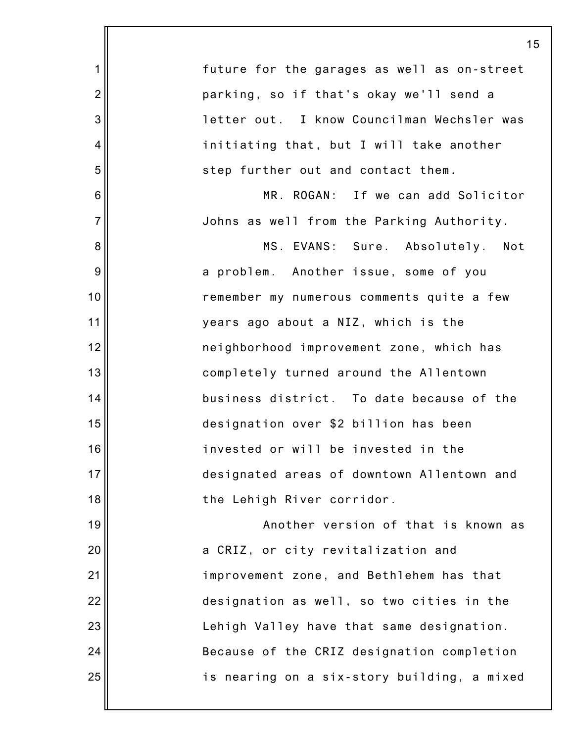|                | 15                                          |
|----------------|---------------------------------------------|
| 1              | future for the garages as well as on-street |
| $\overline{2}$ | parking, so if that's okay we'll send a     |
| 3              | letter out. I know Councilman Wechsler was  |
| 4              | initiating that, but I will take another    |
| 5              | step further out and contact them.          |
| 6              | MR. ROGAN: If we can add Solicitor          |
| $\overline{7}$ | Johns as well from the Parking Authority.   |
| 8              | MS. EVANS: Sure. Absolutely. Not            |
| 9              | a problem. Another issue, some of you       |
| 10             | remember my numerous comments quite a few   |
| 11             | years ago about a NIZ, which is the         |
| 12             | neighborhood improvement zone, which has    |
| 13             | completely turned around the Allentown      |
| 14             | business district. To date because of the   |
| 15             | designation over \$2 billion has been       |
| 16             | invested or will be invested in the         |
| 17             | designated areas of downtown Allentown and  |
| 18             | the Lehigh River corridor.                  |
| 19             | Another version of that is known as         |
| 20             | a CRIZ, or city revitalization and          |
| 21             | improvement zone, and Bethlehem has that    |
| 22             | designation as well, so two cities in the   |
| 23             | Lehigh Valley have that same designation.   |
| 24             | Because of the CRIZ designation completion  |
| 25             | is nearing on a six-story building, a mixed |
|                |                                             |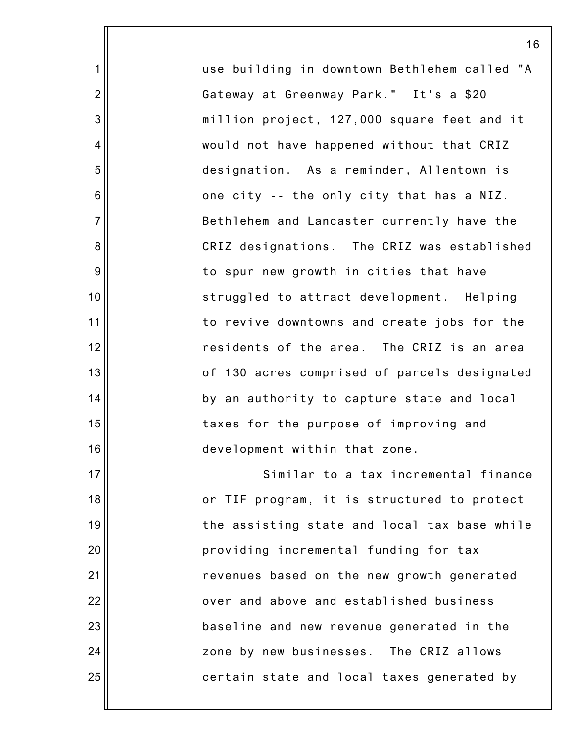use building in downtown Bethlehem called "A Gateway at Greenway Park." It's a \$20 million project, 127,000 square feet and it would not have happened without that CRIZ designation. As a reminder, Allentown is one city -- the only city that has a NIZ. Bethlehem and Lancaster currently have the CRIZ designations. The CRIZ was established to spur new growth in cities that have struggled to attract development. Helping to revive downtowns and create jobs for the residents of the area. The CRIZ is an area of 130 acres comprised of parcels designated by an authority to capture state and local taxes for the purpose of improving and development within that zone. Similar to a tax incremental finance

1

2

3

4

5

6

7

8

9

10

11

12

13

14

15

16

17

18

19

20

21

22

23

24

25

or TIF program, it is structured to protect the assisting state and local tax base while providing incremental funding for tax revenues based on the new growth generated over and above and established business baseline and new revenue generated in the zone by new businesses. The CRIZ allows certain state and local taxes generated by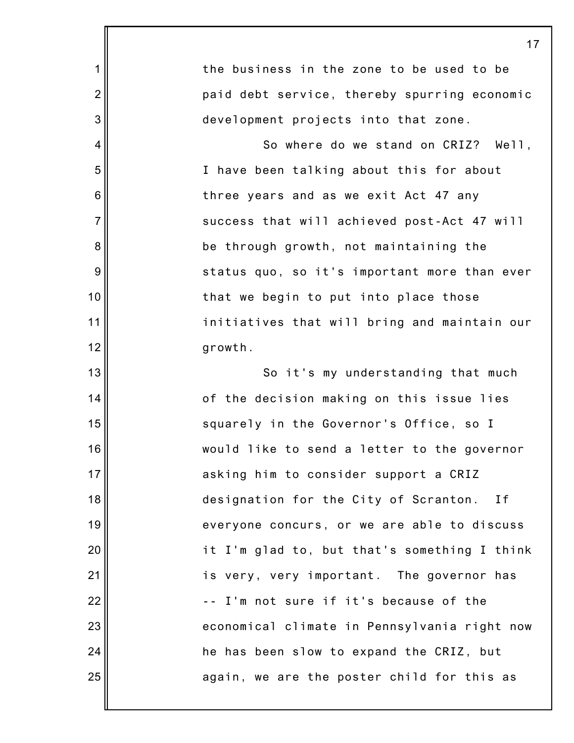|                | 17                                           |
|----------------|----------------------------------------------|
| 1              | the business in the zone to be used to be    |
| $\overline{2}$ | paid debt service, thereby spurring economic |
| 3              | development projects into that zone.         |
| $\overline{4}$ | So where do we stand on CRIZ? Well,          |
| 5              | I have been talking about this for about     |
| 6              | three years and as we exit Act 47 any        |
| $\overline{7}$ | success that will achieved post-Act 47 will  |
| 8              | be through growth, not maintaining the       |
| 9              | status quo, so it's important more than ever |
| 10             | that we begin to put into place those        |
| 11             | initiatives that will bring and maintain our |
| 12             | growth.                                      |
| 13             | So it's my understanding that much           |
| 14             | of the decision making on this issue lies    |
| 15             | squarely in the Governor's Office, so I      |
| 16             | would like to send a letter to the governor  |
| 17             | asking him to consider support a CRIZ        |
| 18             | designation for the City of Scranton.<br>I f |
| 19             | everyone concurs, or we are able to discuss  |
| 20             | it I'm glad to, but that's something I think |
| 21             | is very, very important. The governor has    |
| 22             | -- I'm not sure if it's because of the       |
| 23             | economical climate in Pennsylvania right now |
| 24             | he has been slow to expand the CRIZ, but     |
| 25             | again, we are the poster child for this as   |
|                |                                              |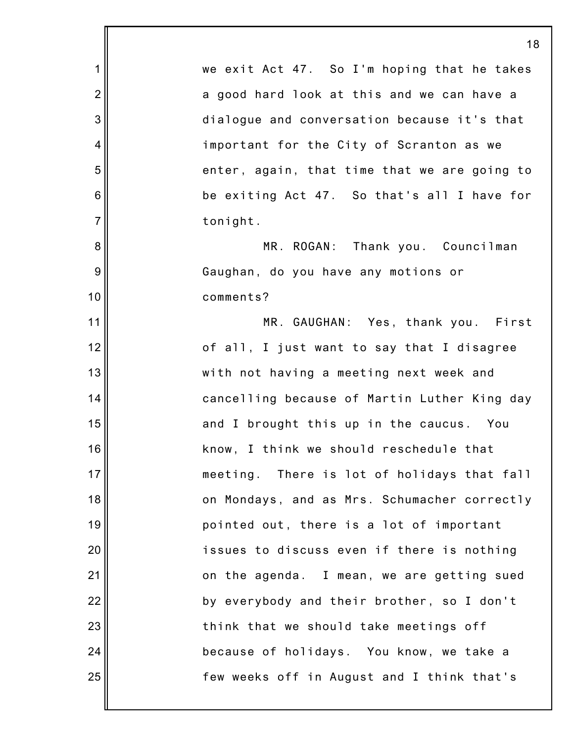1 2 3 4 5 6 7 8 9 10 11 12 13 14 15 16 17 18 19 20 21 22 23 24 25 18 we exit Act 47. So I'm hoping that he takes a good hard look at this and we can have a dialogue and conversation because it's that important for the City of Scranton as we enter, again, that time that we are going to be exiting Act 47. So that's all I have for tonight. MR. ROGAN: Thank you. Councilman Gaughan, do you have any motions or comments? MR. GAUGHAN: Yes, thank you. First of all, I just want to say that I disagree with not having a meeting next week and cancelling because of Martin Luther King day and I brought this up in the caucus. You know, I think we should reschedule that meeting. There is lot of holidays that fall on Mondays, and as Mrs. Schumacher correctly pointed out, there is a lot of important issues to discuss even if there is nothing on the agenda. I mean, we are getting sued by everybody and their brother, so I don't think that we should take meetings off because of holidays. You know, we take a few weeks off in August and I think that's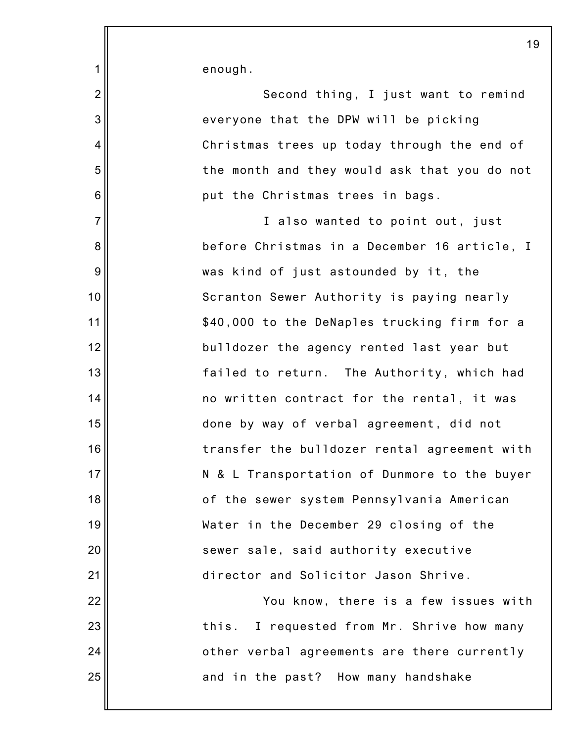enough.

1

2

3

4

5

6

7

8

9

10

11

12

13

14

15

16

17

18

19

20

21

22

23

24

25

Second thing, I just want to remind everyone that the DPW will be picking Christmas trees up today through the end of the month and they would ask that you do not put the Christmas trees in bags.

I also wanted to point out, just before Christmas in a December 16 article, I was kind of just astounded by it, the Scranton Sewer Authority is paying nearly \$40,000 to the DeNaples trucking firm for a bulldozer the agency rented last year but failed to return. The Authority, which had no written contract for the rental, it was done by way of verbal agreement, did not transfer the bulldozer rental agreement with N & L Transportation of Dunmore to the buyer of the sewer system Pennsylvania American Water in the December 29 closing of the sewer sale, said authority executive director and Solicitor Jason Shrive.

You know, there is a few issues with this. I requested from Mr. Shrive how many other verbal agreements are there currently and in the past? How many handshake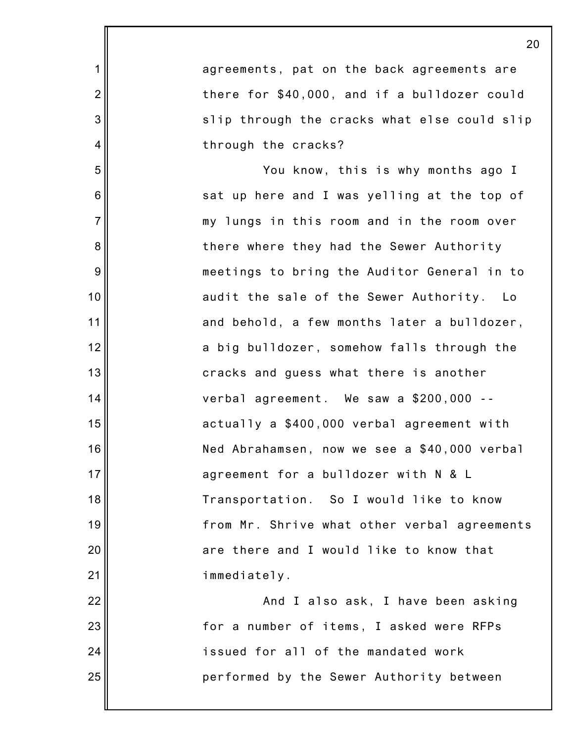|                | $\overline{2}$                               |
|----------------|----------------------------------------------|
| 1              | agreements, pat on the back agreements are   |
| $\overline{2}$ | there for \$40,000, and if a bulldozer could |
| 3              | slip through the cracks what else could slip |
| $\overline{4}$ | through the cracks?                          |
| 5              | You know, this is why months ago I           |
| 6              | sat up here and I was yelling at the top of  |
| $\overline{7}$ | my lungs in this room and in the room over   |
| 8              | there where they had the Sewer Authority     |
| 9              | meetings to bring the Auditor General in to  |
| 10             | audit the sale of the Sewer Authority. Lo    |
| 11             | and behold, a few months later a bulldozer,  |
| 12             | a big bulldozer, somehow falls through the   |
| 13             | cracks and guess what there is another       |
| 14             | verbal agreement. We saw a \$200,000 --      |
| 15             | actually a \$400,000 verbal agreement with   |
| 16             | Ned Abrahamsen, now we see a \$40,000 verbal |
| 17             | agreement for a bulldozer with N & L         |
| 18             | Transportation. So I would like to know      |
| 19             | from Mr. Shrive what other verbal agreements |
| 20             | are there and I would like to know that      |
| 21             | immediately.                                 |
| 22             | And I also ask, I have been asking           |
| 23             | for a number of items, I asked were RFPs     |
| 24             | issued for all of the mandated work          |
| 25             | performed by the Sewer Authority between     |
|                |                                              |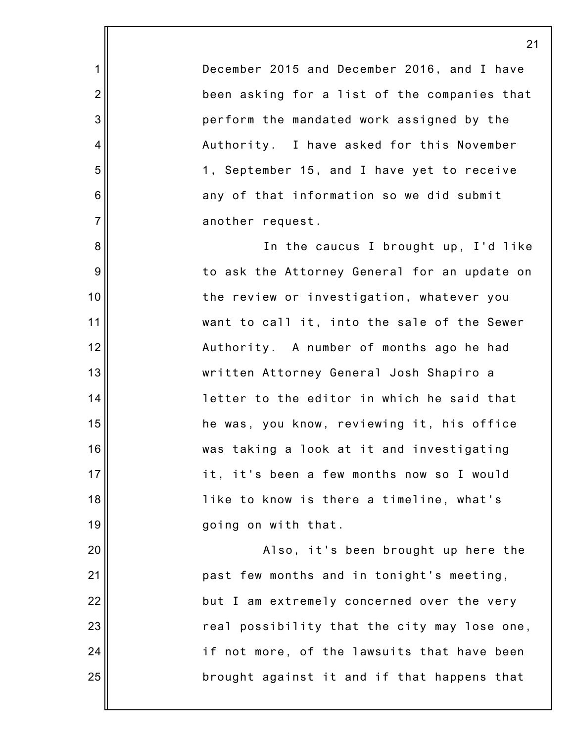December 2015 and December 2016, and I have been asking for a list of the companies that perform the mandated work assigned by the Authority. I have asked for this November 1, September 15, and I have yet to receive any of that information so we did submit another request.

1

2

3

4

5

6

7

8

9

10

11

12

13

14

15

16

17

18

19

20

21

22

23

24

25

In the caucus I brought up, I'd like to ask the Attorney General for an update on the review or investigation, whatever you want to call it, into the sale of the Sewer Authority. A number of months ago he had written Attorney General Josh Shapiro a letter to the editor in which he said that he was, you know, reviewing it, his office was taking a look at it and investigating it, it's been a few months now so I would like to know is there a timeline, what's going on with that.

Also, it's been brought up here the past few months and in tonight's meeting, but I am extremely concerned over the very real possibility that the city may lose one, if not more, of the lawsuits that have been brought against it and if that happens that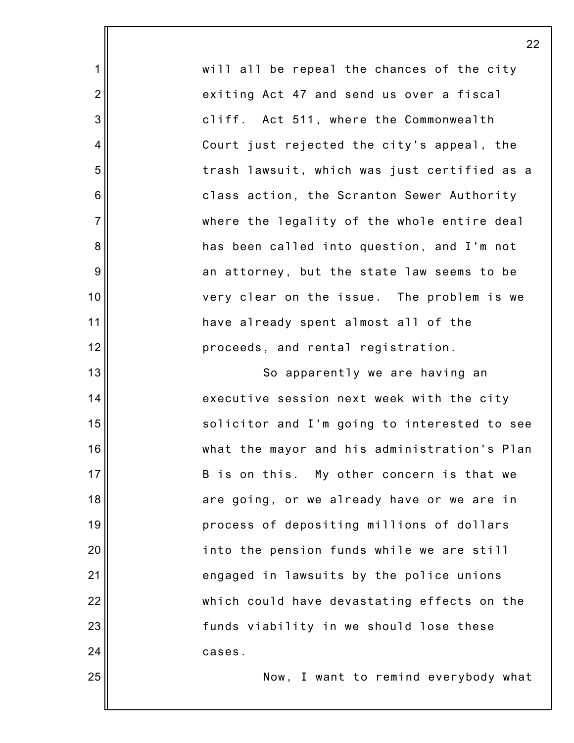will all be repeal the chances of the city exiting Act 47 and send us over a fiscal cliff. Act 511, where the Commonwealth Court just rejected the city's appeal, the trash lawsuit, which was just certified as a class action, the Scranton Sewer Authority where the legality of the whole entire deal has been called into question, and I'm not an attorney, but the state law seems to be very clear on the issue. The problem is we have already spent almost all of the proceeds, and rental registration.

1

2

3

4

5

6

7

8

9

10

11

12

13

14

15

16

17

18

19

20

21

22

23

24

25

So apparently we are having an executive session next week with the city solicitor and I'm going to interested to see what the mayor and his administration's Plan B is on this. My other concern is that we are going, or we already have or we are in process of depositing millions of dollars into the pension funds while we are still engaged in lawsuits by the police unions which could have devastating effects on the funds viability in we should lose these cases.

Now, I want to remind everybody what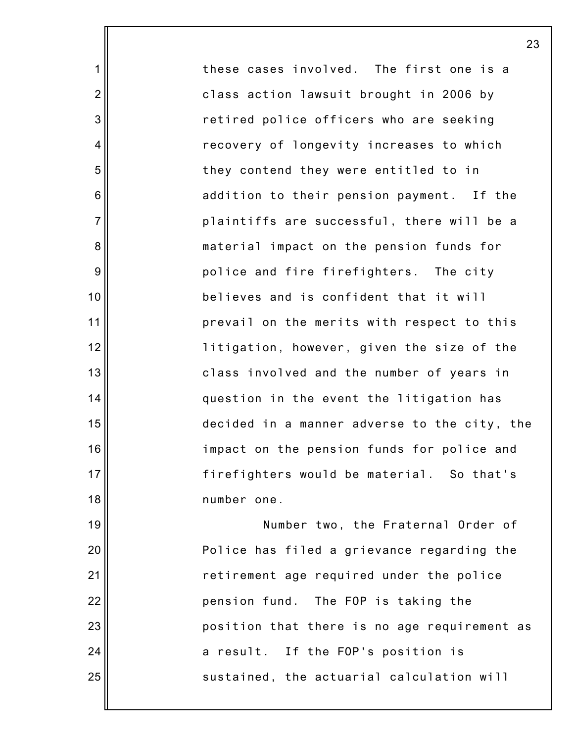these cases involved. The first one is a class action lawsuit brought in 2006 by retired police officers who are seeking recovery of longevity increases to which they contend they were entitled to in addition to their pension payment. If the plaintiffs are successful, there will be a material impact on the pension funds for police and fire firefighters. The city believes and is confident that it will prevail on the merits with respect to this litigation, however, given the size of the class involved and the number of years in question in the event the litigation has decided in a manner adverse to the city, the impact on the pension funds for police and firefighters would be material. So that's number one. Number two, the Fraternal Order of Police has filed a grievance regarding the retirement age required under the police pension fund. The FOP is taking the position that there is no age requirement as

23

1

2

3

4

5

6

7

8

9

10

11

12

13

14

15

16

17

18

19

20

21

22

23

24

25

sustained, the actuarial calculation will

a result. If the FOP's position is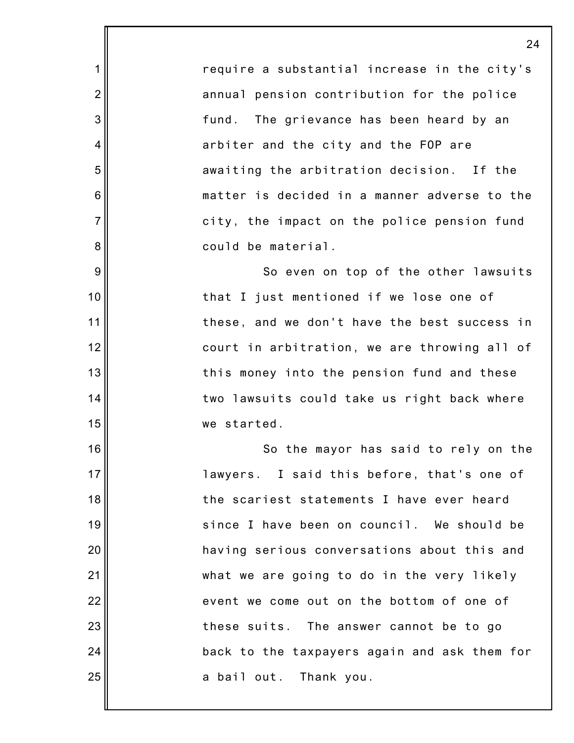require a substantial increase in the city's annual pension contribution for the police fund. The grievance has been heard by an arbiter and the city and the FOP are awaiting the arbitration decision. If the matter is decided in a manner adverse to the city, the impact on the police pension fund could be material.

1

2

3

4

5

6

7

8

9

10

11

12

13

14

15

16

17

18

19

20

21

22

23

24

25

So even on top of the other lawsuits that I just mentioned if we lose one of these, and we don't have the best success in court in arbitration, we are throwing all of this money into the pension fund and these two lawsuits could take us right back where we started.

So the mayor has said to rely on the lawyers. I said this before, that's one of the scariest statements I have ever heard since I have been on council. We should be having serious conversations about this and what we are going to do in the very likely event we come out on the bottom of one of these suits. The answer cannot be to go back to the taxpayers again and ask them for a bail out. Thank you.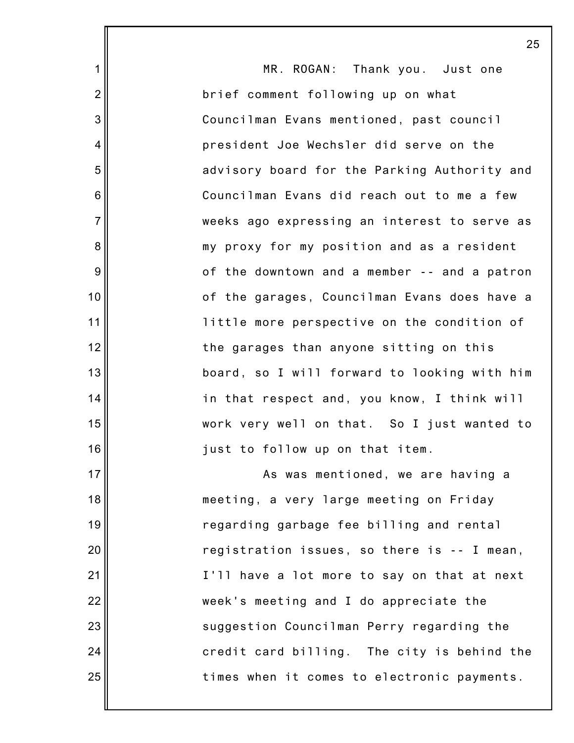|                 | 25                                           |
|-----------------|----------------------------------------------|
| $\mathbf 1$     | MR. ROGAN: Thank you. Just one               |
| $\overline{2}$  | brief comment following up on what           |
| 3               | Councilman Evans mentioned, past council     |
| $\overline{4}$  | president Joe Wechsler did serve on the      |
| 5               | advisory board for the Parking Authority and |
| $6\phantom{1}6$ | Councilman Evans did reach out to me a few   |
| $\overline{7}$  | weeks ago expressing an interest to serve as |
| 8               | my proxy for my position and as a resident   |
| 9               | of the downtown and a member -- and a patron |
| 10              | of the garages, Councilman Evans does have a |
| 11              | little more perspective on the condition of  |
| 12              | the garages than anyone sitting on this      |
| 13              | board, so I will forward to looking with him |
| 14              | in that respect and, you know, I think will  |
| 15              | work very well on that. So I just wanted to  |
| 16              | just to follow up on that item.              |
| 17              | As was mentioned, we are having a            |
| 18              | meeting, a very large meeting on Friday      |
| 19              | regarding garbage fee billing and rental     |
| 20              | registration issues, so there is -- I mean,  |
| 21              | I'll have a lot more to say on that at next  |
| 22              | week's meeting and I do appreciate the       |
| 23              | suggestion Councilman Perry regarding the    |
| 24              | credit card billing. The city is behind the  |
| 25              | times when it comes to electronic payments.  |
|                 |                                              |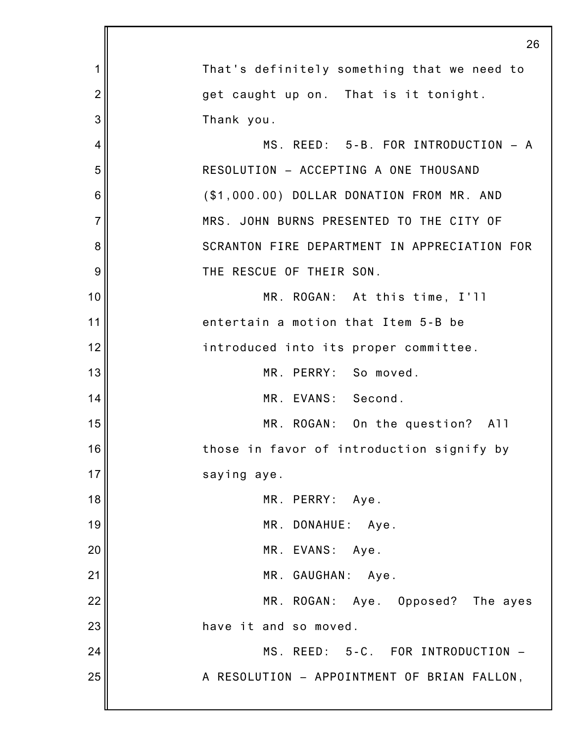|                | 26                                           |
|----------------|----------------------------------------------|
| 1              | That's definitely something that we need to  |
| $\overline{2}$ | get caught up on. That is it tonight.        |
| 3              | Thank you.                                   |
| 4              | MS. REED: 5-B. FOR INTRODUCTION - A          |
| 5              | RESOLUTION - ACCEPTING A ONE THOUSAND        |
| 6              | (\$1,000.00) DOLLAR DONATION FROM MR. AND    |
| $\overline{7}$ | MRS. JOHN BURNS PRESENTED TO THE CITY OF     |
| 8              | SCRANTON FIRE DEPARTMENT IN APPRECIATION FOR |
| 9              | THE RESCUE OF THEIR SON.                     |
| 10             | MR. ROGAN: At this time, I'll                |
| 11             | entertain a motion that Item 5-B be          |
| 12             | introduced into its proper committee.        |
| 13             | MR. PERRY: So moved.                         |
| 14             | MR. EVANS: Second.                           |
| 15             | MR. ROGAN: On the question? All              |
| 16             | those in favor of introduction signify by    |
| 17             | saying aye.                                  |
| 18             | MR. PERRY: Aye.                              |
| 19             | MR. DONAHUE: Aye.                            |
| 20             | MR. EVANS: Aye.                              |
| 21             | MR. GAUGHAN: Aye.                            |
| 22             | MR. ROGAN: Aye. Opposed? The ayes            |
| 23             | have it and so moved.                        |
| 24             | MS. REED: 5-C. FOR INTRODUCTION -            |
| 25             | A RESOLUTION - APPOINTMENT OF BRIAN FALLON,  |
|                |                                              |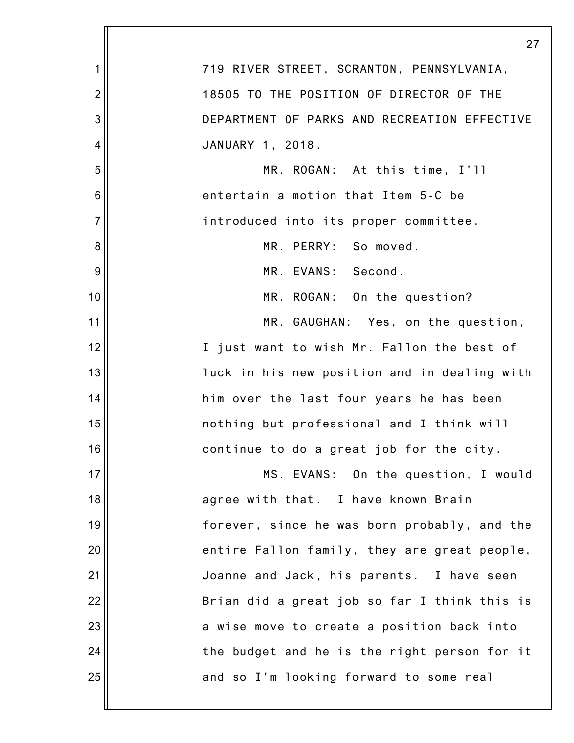|                | 27                                           |
|----------------|----------------------------------------------|
| 1              | 719 RIVER STREET, SCRANTON, PENNSYLVANIA,    |
| $\overline{2}$ | 18505 TO THE POSITION OF DIRECTOR OF THE     |
| 3              | DEPARTMENT OF PARKS AND RECREATION EFFECTIVE |
| 4              | JANUARY 1, 2018.                             |
| 5              | MR. ROGAN: At this time, I'll                |
| 6              | entertain a motion that Item 5-C be          |
| $\overline{7}$ | introduced into its proper committee.        |
| 8              | MR. PERRY: So moved.                         |
| 9              | MR. EVANS: Second.                           |
| 10             | MR. ROGAN: On the question?                  |
| 11             | MR. GAUGHAN: Yes, on the question,           |
| 12             | I just want to wish Mr. Fallon the best of   |
| 13             | luck in his new position and in dealing with |
| 14             | him over the last four years he has been     |
| 15             | nothing but professional and I think will    |
| 16             | continue to do a great job for the city.     |
| 17             | MS. EVANS: On the question, I would          |
| 18             | agree with that. I have known Brain          |
| 19             | forever, since he was born probably, and the |
| 20             | entire Fallon family, they are great people, |
| 21             | Joanne and Jack, his parents. I have seen    |
| 22             | Brian did a great job so far I think this is |
| 23             | a wise move to create a position back into   |
| 24             | the budget and he is the right person for it |
| 25             | and so I'm looking forward to some real      |
|                |                                              |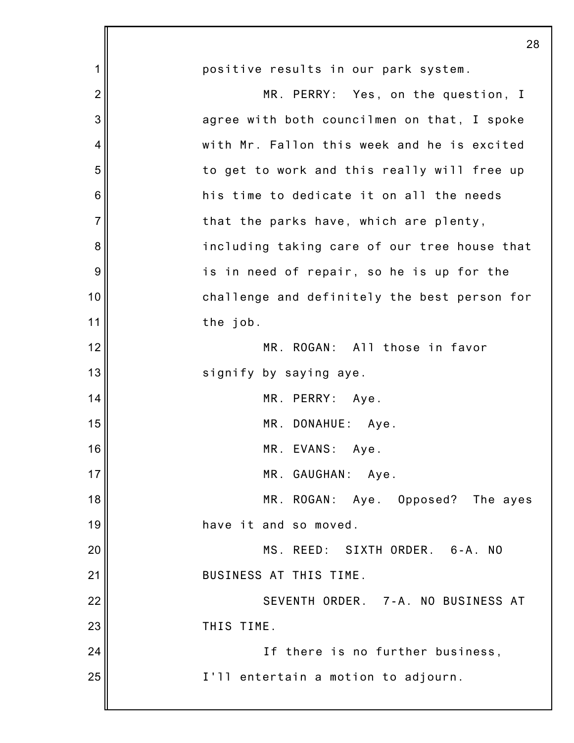|                | 28                                           |
|----------------|----------------------------------------------|
| 1              | positive results in our park system.         |
| $\overline{2}$ | MR. PERRY: Yes, on the question, I           |
| 3              | agree with both councilmen on that, I spoke  |
| 4              | with Mr. Fallon this week and he is excited  |
| 5              | to get to work and this really will free up  |
| 6              | his time to dedicate it on all the needs     |
| $\overline{7}$ | that the parks have, which are plenty,       |
| 8              | including taking care of our tree house that |
| 9              | is in need of repair, so he is up for the    |
| 10             | challenge and definitely the best person for |
| 11             | the job.                                     |
| 12             | MR. ROGAN: All those in favor                |
| 13             | signify by saying aye.                       |
| 14             | MR. PERRY: Aye.                              |
| 15             | MR. DONAHUE: Aye.                            |
| 16             | MR. EVANS: Aye.                              |
| 17             | MR. GAUGHAN: Aye.                            |
| 18             | MR. ROGAN: Aye. Opposed? The ayes            |
| 19             | have it and so moved.                        |
| 20             | MS. REED: SIXTH ORDER. 6-A. NO               |
| 21             | BUSINESS AT THIS TIME.                       |
| 22             | SEVENTH ORDER. 7-A. NO BUSINESS AT           |
| 23             | THIS TIME.                                   |
| 24             | If there is no further business,             |
| 25             | I'll entertain a motion to adjourn.          |
|                |                                              |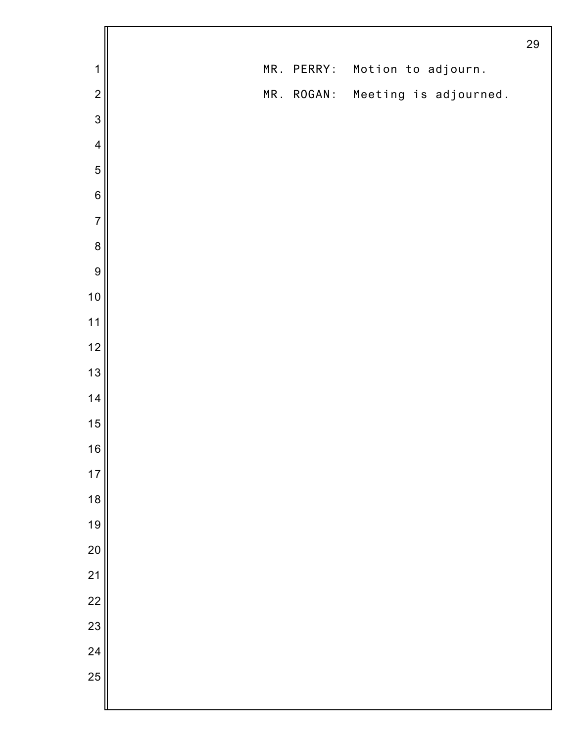|                  |  |            |                                  | 29 |
|------------------|--|------------|----------------------------------|----|
| 1                |  | MR. PERRY: | Motion to adjourn.               |    |
| $\overline{c}$   |  |            | MR. ROGAN: Meeting is adjourned. |    |
| 3                |  |            |                                  |    |
| $\overline{4}$   |  |            |                                  |    |
| 5                |  |            |                                  |    |
| $6\phantom{1}6$  |  |            |                                  |    |
| $\overline{7}$   |  |            |                                  |    |
| $\boldsymbol{8}$ |  |            |                                  |    |
| 9                |  |            |                                  |    |
| 10               |  |            |                                  |    |
| 11               |  |            |                                  |    |
| 12               |  |            |                                  |    |
| 13               |  |            |                                  |    |
| 14               |  |            |                                  |    |
| 15               |  |            |                                  |    |
| 16               |  |            |                                  |    |
| 17               |  |            |                                  |    |
| 18               |  |            |                                  |    |
| 19               |  |            |                                  |    |
| 20               |  |            |                                  |    |
| 21               |  |            |                                  |    |
| 22               |  |            |                                  |    |
| 23               |  |            |                                  |    |
| 24               |  |            |                                  |    |
| 25               |  |            |                                  |    |
|                  |  |            |                                  |    |